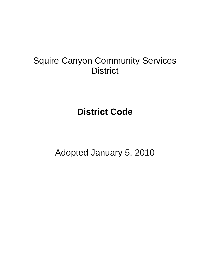# Squire Canyon Community Services **District**

**District Code** 

Adopted January 5, 2010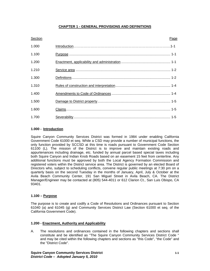### **CHAPTER 1 - GENERAL PROVISIONS AND DEFINITIONS**

| Section | Page |
|---------|------|
| 1.000   |      |
| 1.100   |      |
| 1.200   |      |
| 1.210   |      |
| 1.300   |      |
| 1.310   |      |
| 1.400   |      |
| 1.500   |      |
| 1.600   |      |
| 1.700   |      |

### **1.000 - Introduction**

Squire Canyon Community Services District was formed in 1984 under enabling California Government Code 61000 et seq. While a CSD may provide a number of municipal functions, the only function provided by SCCSD at this time is roads pursuant to Government Code Section 61100 (L). The mission of the District is to improve and maintain existing roads and appurtenances including drainage, etc. funded by annual parcel based special taxes including both Squire Canyon and Indian Knob Roads based on an easement 15 feet from centerline. Any additional functions must be approved by both the Local Agency Formation Commission and registered voters within the District service area. The District is governed by an elected Board of Directors who, subject to scheduling conflicts, convene regular public meetings at 7:30 pm on a quarterly basis on the second Tuesday in the months of January, April, July & October at the Avila Beach Community Center, 191 San Miguel Street in Avila Beach, CA. The District Manager/Engineer may be contacted at (805) 544-4011 or 612 Clarion Ct., San Luis Obispo, CA 93401.

### **1.100 – Purpose**

The purpose is to create and codify a Code of Resolutions and Ordinances pursuant to Section 61040 (a) and 61045 (g) and Community Services District Law (Section 61000 et seq. of the California Government Code).

#### **1.200 - Enactment, Authority and Applicability**

A. The resolutions and ordinances contained in the following chapters and sections shall constitute and be identified as "The Squire Canyon Community Services District Code " and may be cited within the following chapters and sections as "this Code", "the Code" and the "District Code".

**Squire Canyon Community Services District 1-1** 1-1 *District Code – Adopted January 5, 2010*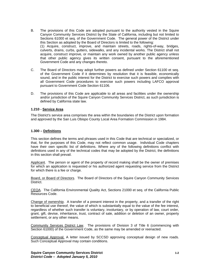- B. The provisions of this Code are adopted pursuant to the authority vested in the Squire Canyon Community Services District by the State of California, including but not limited to Sections 61000 et seq. of the Government Code. The general power of the District under this Section as adopted by the Board of Directors is limited to the following: (1) Acquire, construct, improve, and maintain streets, roads, rights-of-way, bridges, culverts, drains, curbs, gutters, sidewalks, and any incidental works. The District shall not acquire, construct improve, or maintain any work owned by another public agency unless that other public agency gives its written consent, pursuant to the aforementioned Government Code and any changes thereto.
- C. The Board of Directors may adopt further powers as defined under Section 61100 et seq. of the Government Code if it determines by resolution that it is feasible, economically sound, and in the public interest for the District to exercise such powers and complies with all Government Code procedures to exercise such powers including LAFCO approval pursuant to Government Code Section 61106.
- D. The provisions of this Code are applicable to all areas and facilities under the ownership and/or jurisdiction of the Squire Canyon Community Services District, as such jurisdiction is defined by California state law.

### **1.210 - Service Area**

The District's service area comprises the area within the boundaries of the District upon formation and approved by the San Luis Obispo County Local Area Formation Commission in 1984.

#### **1.300 – Definitions**

This section defines the terms and phrases used in this Code that are technical or specialized, or that, for the purposes of this Code, may not reflect common usage. Individual Code chapters have their own specific list of definitions. Where any of the following definitions conflict with definitions used in any of the technical codes that may be adopted by the District, the definitions in this section shall prevail.

Applicant. The person or agent of the property of record making shall be the owner of premises for which an application is requested or his authorized agent requesting service from the District for which there is a fee or charge.

Board, or Board of Directors. The Board of Directors of the Squire Canyon Community Services District.

CEQA. The California Environmental Quality Act, Sections 21000 et seq. of the California Public Resources Code.

Change of ownership. A transfer of a present interest in the property, and a transfer of the right to beneficial use thereof, the value of which is substantially equal to the value of the fee interest, regardless of whether such transfer is voluntary, involuntary, or by operation of law, court order, grant, gift, devise, inheritance, trust, contract of sale, addition or deletion of an owner, property settlement, or any other means.

Community Services District Law. The provisions of Division 3 of Title 6 (commencing with Section 61000) of the Government Code, as the same may be amended or reenacted.

Conceptual Approval. A letter issued by SCCSD approving conceptual design of new roads. Such Conceptual Approval may contain conditions.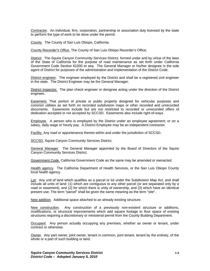Contractor. An individual, firm, corporation, partnership or association duly licensed by the state to perform the type of work to be done under the permit.

County. The County of San Luis Obispo, California.

County Recorder's Office. The County of San Luis Obispo Recorder's Office.

District. The Squire Canyon Community Services District, formed under and by virtue of the laws of the State of California for the purpose of road maintenance as set forth under California Government Code Section 61000 et seq. The General Manager or his/her designee is the sole agent of District for purposes of the administration and implementation of the District Code.

District engineer. The engineer employed by the District and shall be a registered civil engineer in the state. The District Engineer may be the General Manager.

District inspector. The plan check engineer or designee acting under the direction of the District engineer.

**Easement.** That portion of private or public property designed for vehicular purposes and common utilities as set forth on recorded subdivision maps or other recorded and unrecorded documents. Easements include but are not restricted to recorded or unrecorded offers of dedication accepted or not accepted by SCCSD. Easements also include right-of-ways.

Employee. A person who is employed by the District under an employee agreement; or on a salary, daily wage or hourly pay. A District Employee may be an independent contractor.

Facility. Any road or appurtenance thereto within and under the jurisdiction of SCCSD.

SCCSD. Squire Canyon Community Services District.

General Manager. The General Manager appointed by the Board of Directors of the Squire Canyon Community Services District.

Government Code. California Government Code as the same may be amended or reenacted.

Health agency. The California Department of Health Services, or the San Luis Obispo County local health agency.

Lot: Any unit of land which qualifies as a parcel or lot under the Subdivision Map Act, and shall include all units of land: (1) which are contiguous to any other parcel (or are separated only by a road or easement), and (2) for which there is unity of ownership, and (3) which have an identical present use. The term "parcel" shall be given the same meaning as the term "site".

New addition. Additional space attached to an already existing structure.

New construction. Any construction of a previously non-existent structure or additions, modifications, or structural improvements which add square footage to floor space of existing structures requiring a discretionary or ministerial permit from the County Building Department.

**Occupant:** Any person actually occupying any premises, whether as owner or tenant, under contract or otherwise.

Owner. Any part owner, joint owner, tenant in common, joint tenant, tenant by the entirety, of the whole or a part of such building or land.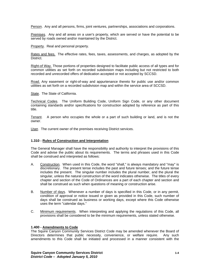Person. Any and all persons, firms, joint ventures, partnerships, associations and corporations.

Premises. Any and all areas on a user's property, which are served or have the potential to be served by roads owned and/or maintained by the District.

Property. Real and personal property.

Rates and fees. The effective rates, fees, taxes, assessments, and charges, as adopted by the District.

Right-of Way. Those portions of properties designed to facilitate public access of all types and for common utilities as set forth on recorded subdivision maps including but not restricted to both recorded and unrecorded offers of dedication accepted or not accepted by SCCSD.

Road. Any easement or right-of-way and appurtenance thereto for public use and/or common utilities as set forth on a recorded subdivision map and within the service area of SCCSD.

State. The State of California.

Technical Codes. The Uniform Building Code, Uniform Sign Code, or any other document containing standards and/or specifications for construction adopted by reference as part of this title.

Tenant. A person who occupies the whole or a part of such building or land, and is not the owner.

User. The current owner of the premises receiving District services.

#### **1.310 - Rules of Construction and Interpretation**

The General Manager shall have the responsibility and authority to interpret the provisions of this Code and advise the public about its requirements. The terms and phrases used in this Code shall be construed and interpreted as follows:

- A. Construction. When used in this Code, the word "shall," is always mandatory and "may" is discretionary. The present tense includes the past and future tenses; and the future tense includes the present. The singular number includes the plural number, and the plural the singular, unless the natural construction of the word indicates otherwise. The titles of every chapter and section of the Code of Ordinances are a part of each chapter and section and shall be construed as such when questions of meaning or construction arise.
- B. Number of days. Whenever a number of days is specified in this Code, or in any permit, condition of approval or notice issued or given as provided in this Code, such number of days shall be construed as business or working days, except where this Code otherwise uses the term "calendar days."
- C. Minimum requirements. When interpreting and applying the regulations of this Code, all provisions shall be considered to be the minimum requirements, unless stated otherwise.

#### **1.400 - Amendments to Code**

The Squire Canyon Community Services District Code may be amended whenever the Board of Directors determines that public necessity, convenience, or welfare require. Any such amendments to this Code shall be initiated and processed in a manner consistent with the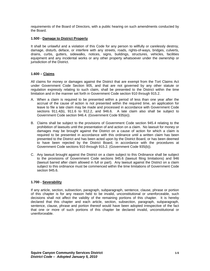requirements of the Board of Directors, with a public hearing on such amendments conducted by the Board.

### **1.500 - Damage to District Property**

It shall be unlawful and a violation of this Code for any person to willfully or carelessly destroy, damage, disturb, deface, or interfere with any streets, roads, rights-of-ways, bridges, culverts, drains, curbs, gutters, sidewalks, notices, signs, buildings, structures, vehicles, facilities equipment and any incidental works or any other property whatsoever under the ownership or jurisdiction of the District.

### **1.600 – Claims**

All claims for money or damages against the District that are exempt from the Tort Claims Act under Government Code Section 905, and that are not governed by any other statute or regulation expressly relating to such claim, shall be presented to the District within the time limitation and in the manner set forth in Government Code section 910 through 915.2.

- A. When a claim is required to be presented within a period of less than one year after the accrual of the cause of action is not presented within the required time, an application for leave to file a late claim may be made and processed in accordance with Government Code sections 911.4(b), 911.6 to 912.2, and 946.6. A late claim also shall be subject to Government Code section 946.4. (Government Code 935(e)).
- B. Claims shall be subject to the provisions of Government Code section 945.4 relating to the prohibition of lawsuits until the presentation of and action on a claim. No lawsuit for money or damages may be brought against the District on a cause of action for which a claim is required to be presented in accordance with this ordinance until a written claim has been presented to the District and has been acted upon by the District Board, or has been deemed to have been rejected by the District Board, in accordance with the procedures at Government Code sections 910 through 915.2. (Government Code 935(b)).
- C. Any lawsuit brought against the District on a claim subject to this Ordinance shall be subject to the provisions of Government Code sections 945.6 (lawsuit filing limitations) and 946 (lawsuit barred after claim allowed in full or part). Any lawsuit against the District on a claim subject to this ordinance must be commenced within the time limitations of Government Code section 945.6.

#### **1.700 - Severability**

If any article, section, subsection, paragraph, subparagraph, sentence, clause, phrase or portion of this chapter is for any reason held to be invalid, unconstitutional or unenforceable, such decisions shall not affect the validity of the remaining portions of this chapter. It is hereby declared that this chapter and each article, section, subsection, paragraph, subparagraph, sentence, clause, phrase and portion thereof would have been adopted irrespective of the fact that one or more of such portions of this chapter be declared invalid, unconstitutional or unenforceable.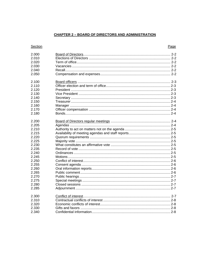### **CHAPTER 2 - BOARD OF DIRECTORS AND ADMINISTRATION**

### Section

### Page

| 2.000 |  |
|-------|--|
| 2.010 |  |
| 2.020 |  |
| 2.030 |  |
| 2.040 |  |
| 2.050 |  |
| 2.100 |  |
| 2.110 |  |
| 2.120 |  |
| 2.130 |  |
| 2.140 |  |
| 2.150 |  |
| 2.160 |  |
| 2.170 |  |
| 2.180 |  |
| 2.200 |  |
| 2.205 |  |
| 2.210 |  |
| 2.215 |  |
| 2.220 |  |
| 2.225 |  |
| 2.230 |  |
| 2.235 |  |
| 2.240 |  |
| 2.245 |  |
| 2.250 |  |
| 2.255 |  |
| 2.260 |  |
| 2.265 |  |
| 2.270 |  |
| 2.275 |  |
| 2.280 |  |
| 2.285 |  |
| 2.300 |  |
| 2.310 |  |
| 2.320 |  |
| 2.330 |  |
| 2.340 |  |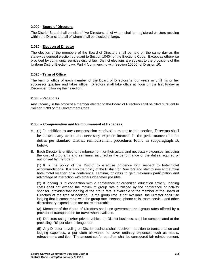### **2.000 - Board of Directors**

The District Board shall consist of five Directors, all of whom shall be registered electors residing within the District and all of whom shall be elected at large.

### **2.010 - Election of Director**

The election of the members of the Board of Directors shall be held on the same day as the statewide general election pursuant to Section 10404 of the Elections Code. Except as otherwise provided by community services district law, District elections are subject to the provisions of the Uniform District Election Law, Part 4 (commencing with Section 10500) of Division 10.

### **2.020 - Term of Office**

The term of office of each member of the Board of Directors is four years or until his or her successor qualifies and takes office. Directors shall take office at noon on the first Friday in December following their election.

### **2.030 - Vacancies**

Any vacancy in the office of a member elected to the Board of Directors shall be filled pursuant to Section 1780 of the Government Code.

### **2.050 – Compensation and Reimbursement of Expenses**

- A. (1) In addition to any compensation received pursuant to this section, Directors shall be allowed any actual and necessary expense incurred in the performance of their duties per standard District reimbursement procedures found in subparagraph B, below.
- B. Each Director is entitled to reimbursement for their actual and necessary expenses, including the cost of programs and seminars, incurred in the performance of the duties required or authorized by the Board.

(1) It is the policy of the District to exercise prudence with respect to hotel/motel accommodations. It is also the policy of the District for Directors and staff to stay at the main hotel/motel location of a conference, seminar, or class to gain maximum participation and advantage of interaction with others whenever possible.

(2) If lodging is in connection with a conference or organized education activity, lodging costs shall not exceed the maximum group rate published by the conference or activity sponsor, provided that lodging at the group rate is available to the member of the Board of Directors at the time of booking. If the group rate is not available, the Director shall use lodging that is comparable with the group rate. Personal phone calls, room service, and other discretionary expenditures are not reimbursable.

(3) Members of the Board of Directors shall use government and group rates offered by a provider of transportation for travel when available.

(4) Directors using his/her private vehicle on District business, shall be compensated at the prevailing IRS per diem mileage rate.

(5) Any Director traveling on District business shall receive in addition to transportation and lodging expenses, a per diem allowance to cover ordinary expenses such as meals, refreshments and tips. The amount set for per diem shall be considered fair reimbursement.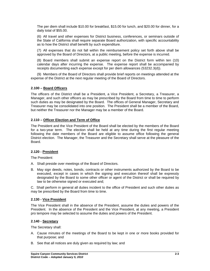The per diem shall include \$10.00 for breakfast, \$15.00 for lunch, and \$20.00 for dinner, for a daily total of \$55.00.

(6) All travel and other expenses for District business, conferences, or seminars outside of the State of California shall require separate Board authorization, with specific accountability as to how the District shall benefit by such expenditure.

(7) All expenses that do not fall within the reimbursement policy set forth above shall be approved by the Board of Directors, at a public meeting, before the expense is incurred.

(8) Board members shall submit an expense report on the District form within ten (10) calendar days after incurring the expense. The expense report shall be accompanied by receipts documenting each expense except for per diem allowances (53232.3(d)).

(9) Members of the Board of Directors shall provide brief reports on meetings attended at the expense of the District at the next regular meeting of the Board of Directors.

### **2.100 – Board Officers**

The officers of the District shall be a President, a Vice President, a Secretary, a Treasurer, a Manager, and such other officers as may be prescribed by the Board from time to time to perform such duties as may be designated by the Board. The offices of General Manager, Secretary and Treasurer may be consolidated into one position. The President shall be a member of the Board, but neither the Treasurer nor the Manager may be a member of the Board.

### **2.110 – Officer Election and Term of Office**

The President and the Vice President of the Board shall be elected by the members of the Board for a two-year term. The election shall be held at any time during the first regular meeting following the date members of the Board are eligible to assume office following the general District election. The Manager, the Treasurer and the Secretary shall serve at the pleasure of the Board.

### **2.120 - President**

The President:

- A. Shall preside over meetings of the Board of Directors.
- B. May sign deeds, notes, bonds, contracts or other instruments authorized by the Board to be executed, except in cases in which the signing and execution thereof shall be expressly designated by the Board to some other officer or agent of the District or shall be required by law to be otherwise signed or executed and;

C. Shall perform in general all duties incident to the office of President and such other duties as may be prescribed by the Board from time to time.

### **2.130 - Vice President**

The Vice President shall in the absence of the President, assume the duties and powers of the President. In the absence of the President and the Vice President, at any meeting, a President pro tempore may be selected to assume the duties and powers of the President.

### **2.140 - Secretary**

The Secretary shall:

- A. Cause minutes of the meetings of the Board to be kept in one or more books provided for that purpose; and
- B. See that all notices are duly given as required by law; and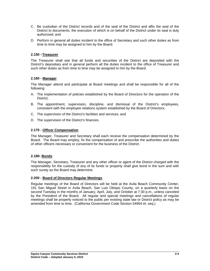- C. Be custodian of the District records and of the seal of the District and affix the seal of the District to documents, the execution of which is on behalf of the District under its seal is duly authorized; and
- D. Perform in general all duties incident to the office of Secretary and such other duties as from time to time may be assigned to him by the Board.

### **2.150 –Treasurer**

The Treasurer shall see that all funds and securities of the District are deposited with the District's depositary and in general perform all the duties incident to the office of Treasurer and such other duties as from time to time may be assigned to him by the Board.

### **2.160 - Manager**

The Manager attend and participate at Board meetings and shall be responsible for all of the following:

- A. The implementation of policies established by the Board of Directors for the operation of the District;
- B. The appointment, supervision, discipline, and dismissal of the District's employees, consistent with the employee relations system established by the Board of Directors;
- C. The supervision of the District's facilities and services; and
- D. The supervision of the District's finances.

### **2.170 - Officer Compensation**

The Manager, Treasurer and Secretary shall each receive the compensation determined by the Board. The Board may employ, fix the compensation of and prescribe the authorities and duties of other officers necessary or convenient for the business of the District.

### **2.180- Bonds**

The Manager, Secretary, Treasurer and any other officer or agent of the District charged with the responsibility for the custody of any of its funds or property shall give bond in the sum and with such surety as the Board may determine.

### **2.200 - Board of Directors Regular Meetings**

Regular meetings of the Board of Directors will be held at the Avila Beach Community Center, 191 San Miguel Street in Avila Beach, San Luis Obispo County, on a quarterly basis on the second Tuesday in the months of January, April, July, and October at 7:30 p.m., unless canceled by the President of the Board. All regular and special meetings and cancellations of regular meetings shall be properly noticed to the public per existing state law or District policy as may be amended from time to time. (California Government Code Section 54954 et. seq.)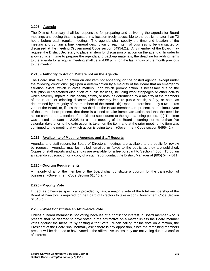### **2.205 – Agenda**

The District Secretary shall be responsible for preparing and delivering the agenda for Board meetings and seeing that it is posted in a location freely accessible to the public no later than 72 hours before each regular meeting. The agenda shall specify the time and location of the meeting and contain a brief general description of each item of business to be transacted or discussed at the meeting (Government Code section 54954.2.). Any member of the Board may request the District Secretary to place an item for discussion or action on the agenda. In order to allow sufficient time to prepare the agenda and back-up materials, the deadline for adding items to the agenda for a regular meeting shall be at 4:00 p.m., on the last Friday of the month previous to the meeting.

### **2.210 - Authority to Act on Matters not on the Agenda**

The Board shall take no action on any item not appearing on the posted agenda, except under the following conditions: (a) upon a determination by a majority of the Board that an emergency situation exists, which involves matters upon which prompt action is necessary due to the disruption or threatened disruption of public facilities, including work stoppages or other activity which severely impairs public health, safety, or both, as determined by a majority of the members of the Board, or crippling disaster which severely impairs public health, safety, or both, as determined by a majority of the members of the Board. (b) Upon a determination by a two-thirds vote of the Board, or, if less than two-thirds of the Board members are present, a unanimous vote of those members present, that there is a need to take immediate action and that the need for action came to the attention of the District subsequent to the agenda being posted. (c) The item was posted pursuant to 2.205 for a prior meeting of the Board occurring not more than five calendar days prior to the date action is taken on the item, and at the prior meeting the item was continued to the meeting at which action is being taken. (Government Code section 54954.2.)

### **2.215 - Availability of Meeting Agendas and Staff Reports**

Agendas and staff reports for Board of Directors' meetings are available to the public for review by request. Agendas may be mailed, emailed or faxed to the public as they are published. Copies of staff reports and agendas are available for a fee pursuant to Section 4.500. To obtain an agenda subscription or a copy of a staff report contact the District Manager at (805) 544-4011.

### **2.220 - Quorum Requirements**

A majority of all of the member of the Board shall constitute a quorum for the transaction of business. (Government Code Section 61045(a).)

### **2.225 - Majority Vote**

Except as otherwise specifically provided by law, a majority vote of the total membership of the Board of Directors is required for the Board of Directors to take action (Government Code Section 61045(c)).

### **2.230 - What Constitutes an Affirmative Vote**

Unless a Board member is not voting because of a conflict of interest, a Board member who is present shall be deemed to have voted in the affirmative on a matter unless the Board member votes against the measure by casting a "no" vote. When calling for the vote on a motion, the President of the Board shall normally ask if there is any opposition, since the remaining members present will be deemed to have voted in the affirmative unless they are not voting due to a conflict of interest.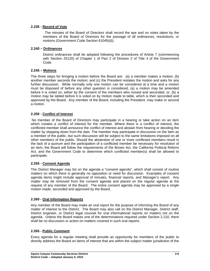### **2.235 - Record of Vote**

The minutes of the Board of Directors shall record the aye and no votes taken by the members of the Board of Directors for the passage of all ordinances, resolutions, or motions (Government Code Section 61045(d)).

### **2.240 – Ordinances**

District ordinances shall be adopted following the procedures of Article 7 (commencing with Section 25120) of Chapter 1 of Part 2 of Division 2 of Title 3 of the Government Code.

### **2.245 – Motions**

The three steps for bringing a motion before the Board are: (a) a member makes a motion; (b) another member seconds the motion; and (c) the President restates the motion and asks for any further discussion. While normally only one motion can be considered at a time and a motion must be disposed of before any other question is considered, (a) a motion may be amended before it is voted on, either by the consent of the members who moved and seconded, or, (b) a motion may be tabled before it is voted on by motion made to table, which is then seconded and approved by the Board. Any member of the Board, including the President, may make or second a motion.

### **2.250 - Conflict of Interest**

No member of the Board of Directors may participate in a hearing or take action on an item which creates a conflict of interest for the member. Where there is a conflict of interest, the conflicted member shall announce the conflict of interest and abstain from hearing or deciding the matter by stepping down from the dais. The member may participate in discussion on the item as a member of the public, but such discussion will be subject to the same limitations imposed on all other members of the public. Should the abstention of one or more conflicted members result in the lack of a quorum and the participation of a conflicted member be necessary for resolution of an item, the Board will follow the requirements of the Brown Act, the California Political Reform Act, and the Government Code to determine which conflicted member(s) shall be allowed to participate.

### **2.255 - Consent Agenda**

The District Manager may list on the agenda a "consent agenda", which shall consist of routine matters on which there is generally no opposition or need for discussion. Examples of consent agenda items might include approval of minutes, financial reports, and Manager's report. Any matter may be removed from the consent agenda and placed on the regular agenda at the request of any member of the Board. The entire consent agenda may be approved by a single motion made, seconded and approved by the Board.

### **2.260 - Oral Information Reports**

Any member of the Board may make an oral report for the purpose of informing the Board of any matter of interest to the District. The Board may also call on the District Manager, District staff, District engineer, or District legal counsel for oral informational reports on matters not on the agenda. Unless the Board makes one of the determinations required under Section 2.210, there shall be no discussion or action on matters covered in such oral reports.

### **2.265 - Public Comment**

Every agenda for a regular meeting shall provide an opportunity for members of the public to directly address the Board on items of interest that are within the subject matter jurisdiction of the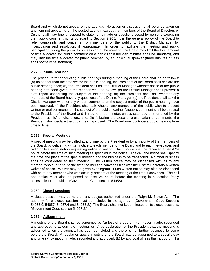Board and which do not appear on the agenda. No action or discussion shall be undertaken on any item not appearing on the posted agenda, except that members of the Board of Directors or District staff may briefly respond to statements made or questions posed by persons exercising their public comment rights pursuant to Section 2.265. It is the general policy of the Board to refer complaints and concerns from members of the public to the District Manager for investigation and resolution, if appropriate. In order to facilitate the meeting and public participation during the public forum session of the meeting, the Board may limit the total amount of time allocated for public comment on a particular issue (ten minutes shall be standard), and may limit the time allocated for public comment by an individual speaker (three minutes or less shall normally be standard).

### **2.270 - Public Hearings**

The procedure for conducting public hearings during a meeting of the Board shall be as follows: (a) no sooner than the time set for the public hearing, the President of the Board shall declare the public hearing open; (b) the President shall ask the District Manager whether notice of the public hearing has been given in the manner required by law; (c) the District Manager shall present a staff report concerning the subject of the hearing; (d) the President shall ask whether any members of the Board have any questions of the District Manager; (e) the President shall ask the District Manager whether any written comments on the subject matter of the public hearing have been received; (f) the President shall ask whether any members of the public wish to present written or oral comments on the subject of the public hearing; (g)public comment shall be directed to the President of the Board and limited to three minutes unless extended or shortened by the President at his/her discretion.; and, (h) following the close of presentation of comments, the President shall declare the public hearing closed. The Board may continue a public hearing from time to time.

### **2.275 - Special Meetings**

A special meeting may be called at any time by the President or by a majority of the members of the Board, by delivering written notice to each member of the Board and to each newspaper, and radio or television station requesting notice in writing. Such notice shall be received at least 24 hours before the time of such meeting as specified in the notice. The call and notice shall specify the time and place of the special meeting and the business to be transacted. No other business shall be considered at such meeting. The written notice may be dispensed with as to any member who at or prior to the time the meeting convenes files with the District Secretary a written waiver of notice. Waiver may be given by telegram. Such written notice may also be dispensed with as to any member who was actually present at the meeting at the time it convenes. The call and notice must also be posed at least 24 hours before the meeting in a location freely accessible to the public. (Government Code section 54956).

### **2.280 - Closed Sessions**

A closed session may be held on any subject authorized under the Ralph M. Brown Act. The authority for a closed session must be included in the agenda. (Government Code Sections 54956.9, 54957, 54957.6 and 54956.8.) The Board shall not keep minutes of its closed sessions. (Government Code section 54957.2.)

### **2.285 – Adjournment**

A meeting of the Board shall be adjourned by (a) loss of a quorum, (b) motion made, seconded and approved to adjourn the meeting, or (c) by declaration of the President that the meeting is adjourned when the agenda has been completed and there is not further business to come before the Board. A regular or special meeting of the Board may be adjourned to a specific day and time (a) by motion made, seconded and approved, (b) by approval of less than a quorum if a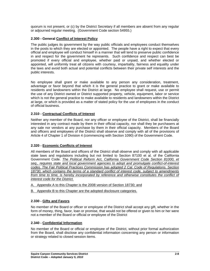quorum is not present, or (c) by the District Secretary if all members are absent from any regular or adjourned regular meeting. (Government Code section 54955.)

### **2.300 - General Conflict of Interest Policy**

The public judges its government by the way public officials and employees conduct themselves in the posts to which they are elected or appointed. The people have a right to expect that every official and employee will conduct himself in a manner that will tend to preserve public confidence in and respect for the government he represents. Such confidence and respect can best be promoted if every official and employee, whether paid or unpaid, and whether elected or appointed, will uniformly treat all citizens with courtesy, impartiality, fairness and equality under the laws and avoid both actual and potential conflicts between their private self interests and the public interests.

No employee shall grant or make available to any person any consideration, treatment, advantage or favor beyond that which it is the general practice to grant or make available to residents and landowners within the District at large. No employee shall request, use or permit the use of any District owned or District supported property, vehicle, equipment, labor or service which is not the general practice to make available to residents and landowners within the District at large, or which is provided as a matter of stated policy for the use of employees in the conduct of official business.

### **2.310 - Contractual Conflicts of Interest**

Neither any member of the Board, nor any officer or employee of the District, shall be financially interested in any contract made by them in their official capacity, nor shall they be purchasers at any sale nor vendors at any purchase by them in their official capacity. Members of the Board and officers and employees of the District shall observe and comply with all of the provisions of Article 4 of Chapter 1 of Division 4 (commencing with Section 1090) of the Government Code.

### **2.320 - Economic Conflicts of Interest**

All members of the Board and officers of the District shall observe and comply with all applicable state laws and regulations including but not limited to Section 87100 et al. of the California Government Code. *The Political Reform Act, California Government Code Section 81000, et seq., requires state and local government agencies to adopt and promulgate conflict-of-interest codes. The Fair Political Practices Commission has adopted 2 Cal. Code of Regulations. Section 18730, which contains the terms of a standard conflict of interest code, subject to amendments*  from time to time, is hereby incorporated by reference and otherwise constitutes the conflict of *interest code for the District.* 

- A. Appendix A to this Chapter is the 2008 version of Section 18730; and
- B. Appendix B to this Chapter are the adopted disclosure categories.

### **2.330 - Gifts and Favors**

No member of the Board or officer or employee of the District shall accept any gift, whether in the form of money, thing, favor, loan or promise, that would not be offered or given to him or her were not a member of the Board or official or employee of the District

### **2.340 - Confidential Information**

No member of the Board or official or employee of the District, without prior formal authorization from the Board, shall disclose any confidential information concerning any person or information or strategy related to closed session items.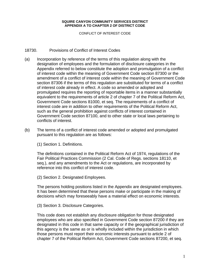CONFLICT OF INTEREST CODE

### 18730. Provisions of Conflict of Interest Codes

- (a) Incorporation by reference of the terms of this regulation along with the designation of employees and the formulation of disclosure categories in the Appendix referred to below constitute the adoption and promulgation of a conflict of interest code within the meaning of Government Code section 87300 or the amendment of a conflict of interest code within the meaning of Government Code section 87306 if the terms of this regulation are substituted for terms of a conflict of interest code already in effect. A code so amended or adopted and promulgated requires the reporting of reportable items in a manner substantially equivalent to the requirements of article 2 of chapter 7 of the Political Reform Act, Government Code sections 81000, et seq. The requirements of a conflict of interest code are in addition to other requirements of the Political Reform Act, such as the general prohibition against conflicts of interest contained in Government Code section 87100, and to other state or local laws pertaining to conflicts of interest.
- (b) The terms of a conflict of interest code amended or adopted and promulgated pursuant to this regulation are as follows:

(1) Section 1. Definitions.

The definitions contained in the Political Reform Act of 1974, regulations of the Fair Political Practices Commission (2 Cal. Code of Regs. sections 18110, et seq.), and any amendments to the Act or regulations, are incorporated by reference into this conflict of interest code.

(2) Section 2. Designated Employees.

The persons holding positions listed in the Appendix are designated employees. It has been determined that these persons make or participate in the making of decisions which may foreseeably have a material effect on economic interests.

(3) Section 3. Disclosure Categories.

This code does not establish any disclosure obligation for those designated employees who are also specified in Government Code section 87200 if they are designated in this code in that same capacity or if the geographical jurisdiction of this agency is the same as or is wholly included within the jurisdiction in which those persons must report their economic interests pursuant to article 2 of chapter 7 of the Political Reform Act, Government Code sections 87200, et seq.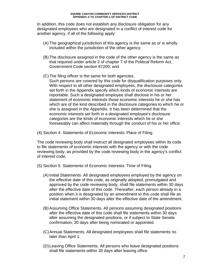In addition, this code does not establish any disclosure obligation for any designated employees who are designated in a conflict of interest code for another agency, if all of the following apply:

- (A) The geographical jurisdiction of this agency is the same as or is wholly included within the jurisdiction of the other agency;
- (B) The disclosure assigned in the code of the other agency is the same as that required under article 2 of chapter 7 of the Political Reform Act, Government Code section 87200; and
- (C) The filing officer is the same for both agencies.
	- Such persons are covered by this code for disqualification purposes only. With respect to all other designated employees, the disclosure categories set forth in the Appendix specify which kinds of economic interests are reportable. Such a designated employee shall disclose in his or her statement of economic interests those economic interests he or she has which are of the kind described in the disclosure categories to which he or she is assigned in the Appendix. It has been determined that the economic interests set forth in a designated employee's disclosure categories are the kinds of economic interests which he or she foreseeably can affect materially through the conduct of his or her office.
- (4) Section 4. Statements of Economic Interests: Place of Filing.

The code reviewing body shall instruct all designated employees within its code to file statements of economic interests with the agency or with the code reviewing body, as provided by the code reviewing body in the agency's conflict of interest code.

- (5) Section 5. Statements of Economic Interests: Time of Filing.
	- (A) Initial Statements. All designated employees employed by the agency on the effective date of this code, as originally adopted, promulgated and approved by the code reviewing body, shall file statements within 30 days after the effective date of this code. Thereafter, each person already in a position when it is designated by an amendment to this code shall file an initial statement within 30 days after the effective date of the amendment.
	- (B) Assuming Office Statements. All persons assuming designated positions after the effective date of this code shall file statements within 30 days after assuming the designated positions, or if subject to State Senate confirmation, 30 days after being nominated or appointed.
	- (C) Annual Statements. All designated employees shall file statements no later than April 1.
	- (D) Leaving Office Statements. All persons who leave designated positions shall file statements within 30 days after leaving office.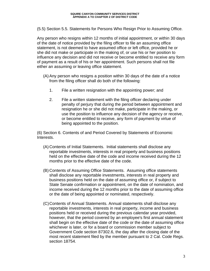(5.5) Section 5.5. Statements for Persons Who Resign Prior to Assuming Office.

Any person who resigns within 12 months of initial appointment, or within 30 days of the date of notice provided by the filing officer to file an assuming office statement, is not deemed to have assumed office or left office, provided he or she did not make or participate in the making of, or use his or her position to influence any decision and did not receive or become entitled to receive any form of payment as a result of his or her appointment. Such persons shall not file either an assuming or leaving office statement.

- (A) Any person who resigns a position within 30 days of the date of a notice from the filing officer shall do both of the following:
	- 1. File a written resignation with the appointing power; and
	- 2. File a written statement with the filing officer declaring under penalty of perjury that during the period between appointment and resignation he or she did not make, participate in the making, or use the position to influence any decision of the agency or receive, or become entitled to receive, any form of payment by virtue of being appointed to the position.

(6) Section 6. Contents of and Period Covered by Statements of Economic Interests.

- (A) Contents of Initial Statements. Initial statements shall disclose any reportable investments, interests in real property and business positions held on the effective date of the code and income received during the 12 months prior to the effective date of the code.
- (B) Contents of Assuming Office Statements. Assuming office statements shall disclose any reportable investments, interests in real property and business positions held on the date of assuming office or, if subject to State Senate confirmation or appointment, on the date of nomination, and income received during the 12 months prior to the date of assuming office or the date of being appointed or nominated, respectively.
- (C) Contents of Annual Statements. Annual statements shall disclose any reportable investments, interests in real property, income and business positions held or received during the previous calendar year provided, however, that the period covered by an employee's first annual statement shall begin on the effective date of the code or the date of assuming office whichever is later, or for a board or commission member subject to Government Code section 87302.6, the day after the closing date of the most recent statement filed by the member pursuant to 2 Cal. Code Regs. section 18754.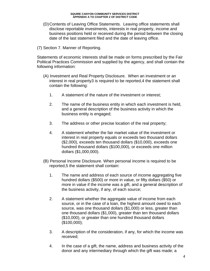- (D) Contents of Leaving Office Statements. Leaving office statements shall disclose reportable investments, interests in real property, income and business positions held or received during the period between the closing date of the last statement filed and the date of leaving office.
- (7) Section 7. Manner of Reporting.

Statements of economic interests shall be made on forms prescribed by the Fair Political Practices Commission and supplied by the agency, and shall contain the following information:

- (A) Investment and Real Property Disclosure. When an investment or an interest in real property3 is required to be reported,4 the statement shall contain the following:
	- 1. A statement of the nature of the investment or interest;
	- 2. The name of the business entity in which each investment is held, and a general description of the business activity in which the business entity is engaged;
	- 3. The address or other precise location of the real property;
	- 4. A statement whether the fair market value of the investment or interest in real property equals or exceeds two thousand dollars (\$2,000), exceeds ten thousand dollars (\$10,000), exceeds one hundred thousand dollars (\$100,000), or exceeds one million dollars (\$1,000,000).
- (B) Personal Income Disclosure. When personal income is required to be reported,5 the statement shall contain:
	- 1. The name and address of each source of income aggregating five hundred dollars (\$500) or more in value, or fifty dollars (\$50) or more in value if the income was a gift, and a general description of the business activity, if any, of each source;
	- 2. A statement whether the aggregate value of income from each source, or in the case of a loan, the highest amount owed to each source, was one thousand dollars (\$1,000) or less, greater than one thousand dollars (\$1,000), greater than ten thousand dollars (\$10,000), or greater than one hundred thousand dollars (\$100,000);
	- 3. A description of the consideration, if any, for which the income was received;
	- 4. In the case of a gift, the name, address and business activity of the donor and any intermediary through which the gift was made; a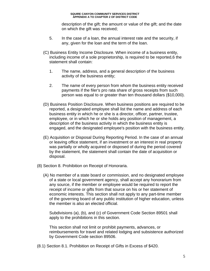description of the gift; the amount or value of the gift; and the date on which the gift was received;

- 5. In the case of a loan, the annual interest rate and the security, if any, given for the loan and the term of the loan.
- (C) Business Entity Income Disclosure. When income of a business entity, including income of a sole proprietorship, is required to be reported,6 the statement shall contain:
	- 1. The name, address, and a general description of the business activity of the business entity;
	- 2. The name of every person from whom the business entity received payments if the filer's pro rata share of gross receipts from such person was equal to or greater than ten thousand dollars (\$10,000).
- (D) Business Position Disclosure. When business positions are required to be reported, a designated employee shall list the name and address of each business entity in which he or she is a director, officer, partner, trustee, employee, or in which he or she holds any position of management, a description of the business activity in which the business entity is engaged, and the designated employee's position with the business entity.
- (E) Acquisition or Disposal During Reporting Period. In the case of an annual or leaving office statement, if an investment or an interest in real property was partially or wholly acquired or disposed of during the period covered by the statement, the statement shall contain the date of acquisition or disposal.
- (8) Section 8. Prohibition on Receipt of Honoraria.
	- (A) No member of a state board or commission, and no designated employee of a state or local government agency, shall accept any honorarium from any source, if the member or employee would be required to report the receipt of income or gifts from that source on his or her statement of economic interests. This section shall not apply to any part-time member of the governing board of any public institution of higher education, unless the member is also an elected official.

 Subdivisions (a), (b), and (c) of Government Code Section 89501 shall apply to the prohibitions in this section.

 This section shall not limit or prohibit payments, advances, or reimbursements for travel and related lodging and subsistence authorized by Government Code section 89506.

(8.1) Section 8.1. Prohibition on Receipt of Gifts in Excess of \$420.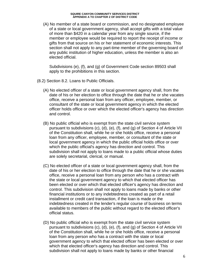(A) No member of a state board or commission, and no designated employee of a state or local government agency, shall accept gifts with a total value of more than \$420 in a calendar year from any single source, if the member or employee would be required to report the receipt of income or gifts from that source on his or her statement of economic interests. This section shall not apply to any part-time member of the governing board of any public institution of higher education, unless the member is also an elected official.

 Subdivisions (e), (f), and (g) of Government Code section 89503 shall apply to the prohibitions in this section.

- (8.2) Section 8.2. Loans to Public Officials.
	- (A) No elected officer of a state or local government agency shall, from the date of his or her election to office through the date that he or she vacates office, receive a personal loan from any officer, employee, member, or consultant of the state or local government agency in which the elected officer holds office or over which the elected officer's agency has direction and control.
	- (B) No public official who is exempt from the state civil service system pursuant to subdivisions (c), (d), (e), (f), and (g) of Section 4 of Article VII of the Constitution shall, while he or she holds office, receive a personal loan from any officer, employee, member, or consultant of the state or local government agency in which the public official holds office or over which the public official's agency has direction and control. This subdivision shall not apply to loans made to a public official whose duties are solely secretarial, clerical, or manual.
	- (C) No elected officer of a state or local government agency shall, from the date of his or her election to office through the date that he or she vacates office, receive a personal loan from any person who has a contract with the state or local government agency to which that elected officer has been elected or over which that elected officer's agency has direction and control. This subdivision shall not apply to loans made by banks or other financial institutions or to any indebtedness created as part of a retail installment or credit card transaction, if the loan is made or the indebtedness created in the lender's regular course of business on terms available to members of the public without regard to the elected officer's official status.
	- (D) No public official who is exempt from the state civil service system pursuant to subdivisions (c), (d), (e), (f), and (g) of Section 4 of Article VII of the Constitution shall, while he or she holds office, receive a personal loan from any person who has a contract with the state or local government agency to which that elected officer has been elected or over which that elected officer's agency has direction and control. This subdivision shall not apply to loans made by banks or other financial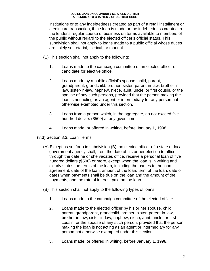institutions or to any indebtedness created as part of a retail installment or credit card transaction, if the loan is made or the indebtedness created in the lender's regular course of business on terms available to members of the public without regard to the elected officer's official status. This subdivision shall not apply to loans made to a public official whose duties are solely secretarial, clerical, or manual.

- (E) This section shall not apply to the following:
	- 1. Loans made to the campaign committee of an elected officer or candidate for elective office.
	- 2. Loans made by a public official's spouse, child, parent, grandparent, grandchild, brother, sister, parent-in-law, brother-inlaw, sister-in-law, nephew, niece, aunt, uncle, or first cousin, or the spouse of any such persons, provided that the person making the loan is not acting as an agent or intermediary for any person not otherwise exempted under this section.
	- 3. Loans from a person which, in the aggregate, do not exceed five hundred dollars (\$500) at any given time.
	- 4. Loans made, or offered in writing, before January 1, 1998.
- (8.3) Section 8.3. Loan Terms.
	- (A) Except as set forth in subdivision (B), no elected officer of a state or local government agency shall, from the date of his or her election to office through the date he or she vacates office, receive a personal loan of five hundred dollars (\$500) or more, except when the loan is in writing and clearly states the terms of the loan, including the parties to the loan agreement, date of the loan, amount of the loan, term of the loan, date or dates when payments shall be due on the loan and the amount of the payments, and the rate of interest paid on the loan.
	- (B) This section shall not apply to the following types of loans:
		- 1. Loans made to the campaign committee of the elected officer.
		- 2. Loans made to the elected officer by his or her spouse, child, parent, grandparent, grandchild, brother, sister, parent-in-law, brother-in-law, sister-in-law, nephew, niece, aunt, uncle, or first cousin, or the spouse of any such person, provided that the person making the loan is not acting as an agent or intermediary for any person not otherwise exempted under this section.
		- 3. Loans made, or offered in writing, before January 1, 1998.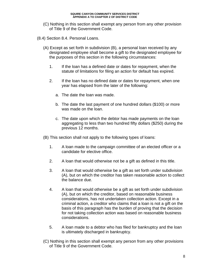- (C) Nothing in this section shall exempt any person from any other provision of Title 9 of the Government Code.
- (8.4) Section 8.4. Personal Loans.
	- (A) Except as set forth in subdivision (B), a personal loan received by any designated employee shall become a gift to the designated employee for the purposes of this section in the following circumstances:
		- 1. If the loan has a defined date or dates for repayment, when the statute of limitations for filing an action for default has expired.
		- 2. If the loan has no defined date or dates for repayment, when one year has elapsed from the later of the following:
			- a. The date the loan was made.
			- b. The date the last payment of one hundred dollars (\$100) or more was made on the loan.
			- c. The date upon which the debtor has made payments on the loan aggregating to less than two hundred fifty dollars (\$250) during the previous 12 months.
	- (B) This section shall not apply to the following types of loans:
		- 1. A loan made to the campaign committee of an elected officer or a candidate for elective office.
		- 2. A loan that would otherwise not be a gift as defined in this title.
		- 3. A loan that would otherwise be a gift as set forth under subdivision (A), but on which the creditor has taken reasonable action to collect the balance due.
		- 4. A loan that would otherwise be a gift as set forth under subdivision (A), but on which the creditor, based on reasonable business considerations, has not undertaken collection action. Except in a criminal action, a creditor who claims that a loan is not a gift on the basis of this paragraph has the burden of proving that the decision for not taking collection action was based on reasonable business considerations.
		- 5. A loan made to a debtor who has filed for bankruptcy and the loan is ultimately discharged in bankruptcy.
	- (C) Nothing in this section shall exempt any person from any other provisions of Title 9 of the Government Code.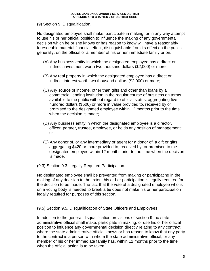### (9) Section 9. Disqualification.

No designated employee shall make, participate in making, or in any way attempt to use his or her official position to influence the making of any governmental decision which he or she knows or has reason to know will have a reasonably foreseeable material financial effect, distinguishable from its effect on the public generally, on the official or a member of his or her immediate family or on:

- (A) Any business entity in which the designated employee has a direct or indirect investment worth two thousand dollars (\$2,000) or more;
- (B) Any real property in which the designated employee has a direct or indirect interest worth two thousand dollars (\$2,000) or more;
- (C) Any source of income, other than gifts and other than loans by a commercial lending institution in the regular course of business on terms available to the public without regard to official status, aggregating five hundred dollars (\$500) or more in value provided to, received by or promised to the designated employee within 12 months prior to the time when the decision is made;
- (D) Any business entity in which the designated employee is a director, officer, partner, trustee, employee, or holds any position of management; or
- (E) Any donor of, or any intermediary or agent for a donor of, a gift or gifts aggregating \$420 or more provided to, received by, or promised to the designated employee within 12 months prior to the time when the decision is made.
- (9.3) Section 9.3. Legally Required Participation.

No designated employee shall be prevented from making or participating in the making of any decision to the extent his or her participation is legally required for the decision to be made. The fact that the vote of a designated employee who is on a voting body is needed to break a tie does not make his or her participation legally required for purposes of this section.

(9.5) Section 9.5. Disqualification of State Officers and Employees.

In addition to the general disqualification provisions of section 9, no state administrative official shall make, participate in making, or use his or her official position to influence any governmental decision directly relating to any contract where the state administrative official knows or has reason to know that any party to the contract is a person with whom the state administrative official, or any member of his or her immediate family has, within 12 months prior to the time when the official action is to be taken: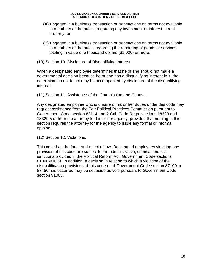- (A) Engaged in a business transaction or transactions on terms not available to members of the public, regarding any investment or interest in real property; or
- (B) Engaged in a business transaction or transactions on terms not available to members of the public regarding the rendering of goods or services totaling in value one thousand dollars (\$1,000) or more.
- (10) Section 10. Disclosure of Disqualifying Interest.

When a designated employee determines that he or she should not make a governmental decision because he or she has a disqualifying interest in it, the determination not to act may be accompanied by disclosure of the disqualifying interest.

(11) Section 11. Assistance of the Commission and Counsel.

Any designated employee who is unsure of his or her duties under this code may request assistance from the Fair Political Practices Commission pursuant to Government Code section 83114 and 2 Cal. Code Regs. sections 18329 and 18329.5 or from the attorney for his or her agency, provided that nothing in this section requires the attorney for the agency to issue any formal or informal opinion.

(12) Section 12. Violations.

This code has the force and effect of law. Designated employees violating any provision of this code are subject to the administrative, criminal and civil sanctions provided in the Political Reform Act, Government Code sections 81000-91014. In addition, a decision in relation to which a violation of the disqualification provisions of this code or of Government Code section 87100 or 87450 has occurred may be set aside as void pursuant to Government Code section 91003.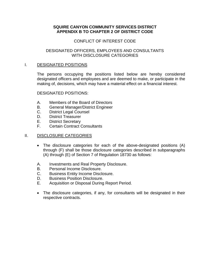# CONFLICT OF INTEREST CODE

### DESIGNATED OFFICERS, EMPLOYEES AND CONSULTANTS WITH DISCLOSURE CATEGORIES

### I. DESIGNATED POSITIONS

The persons occupying the positions listed below are hereby considered designated officers and employees and are deemed to make, or participate in the making of, decisions, which may have a material effect on a financial interest.

DESIGNATED POSITIONS:

- A. Members of the Board of Directors
- B. General Manager/District Engineer
- C. District Legal Counsel
- D. District Treasurer
- E. District Secretary
- F. Certain Contract Consultants

# II. DISCLOSURE CATEGORIES

- The disclosure categories for each of the above-designated positions (A) through (F) shall be those disclosure categories described in subparagraphs (A) through (E) of Section 7 of Regulation 18730 as follows:
- A. Investments and Real Property Disclosure.
- B. Personal Income Disclosure.
- C. Business Entity Income Disclosure.
- D. Business Position Disclosure.
- E. Acquisition or Disposal During Report Period.
- The disclosure categories, if any, for consultants will be designated in their respective contracts.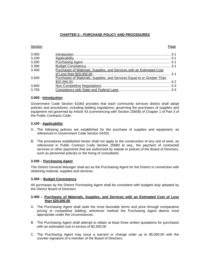### **CHAPTER 3 – PURCHASE POLICY AND PROCEDURES**

#### **Section Page 2018**

| 3.000 |                                                                         |  |
|-------|-------------------------------------------------------------------------|--|
| 3.100 |                                                                         |  |
| 3.200 |                                                                         |  |
| 3.300 |                                                                         |  |
| 3.400 | Purchases of Materials, Supplies, and Services with an Estimated Cost   |  |
|       |                                                                         |  |
| 3.500 | Purchases of Materials, Supplies, and Services Equal to or Greater Than |  |
|       |                                                                         |  |
| 3.600 |                                                                         |  |
| 3.700 |                                                                         |  |

#### **3.000 - Introduction**

Government Code Section 61063 provides that each community services district shall adopt policies and procedures, including bidding regulations, governing the purchases of supplies and equipment not governed by Article 43 (commencing with Section 20608) of Chapter 1 of Part 3 of the Public Contracts Code.

#### **3.100 - Applicability**

- A. The following policies are established for the purchase of supplies and equipment, as referenced in Government Code Section 54202.
- B. The procedures established herein shall not apply to the construction of any unit of work, as referenced in Public Contract Code Section 20680 et seq., the payment of contracted services or other payments that are authorized by statute or polices of the Board of Directors, such as personnel policies or the hiring of consultants.

#### **3.200 – Purchasing Agent**

The District General Manager shall act as the Purchasing Agent for the District in connection with obtaining material, supplies and services.

#### **3.300 – Budget Consistency**

All purchases by the District Purchasing Agent shall be consistent with budgets duly adopted by the District Board of Directors.

#### **3.400 – Purchases of Materials, Supplies, and Services with an Estimated Cost of Less than \$20,000.00**

- A. The Purchasing Agent shall seek the most favorable terms and price through comparative pricing or competitive bidding, whichever method the Purchasing Agent deems most appropriate under the circumstances.
- B. The Purchasing Agent shall attempt to obtain at least three written quotations for purchases with an estimated cost in excess of \$2,500.00
- C. The Purchasing Agent may issue a warrant or change order up to \$5,000.00 with the counter-signature of a member of the Board of Directors.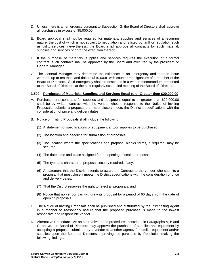- D. Unless there is an emergency pursuant to Subsection G, the Board of Directors shall approve all purchases in excess of \$5,000.00.
- E. Board approval shall not be required for materials, supplies and services of a recurring nature, the cost of which is not subject to negotiation and is fixed by tariff or regulation such as utility services; nevertheless, the Board shall approve all contracts for such material, supplies and services prior to the execution thereof.
- F. If the purchase of materials, supplies and services requires the execution of a formal contract, such contract shall be approved by the Board and executed by the president or General Manager.
- G. The General Manager may determine the existence of an emergency and thereon issue warrants up to ten thousand dollars (\$10,000) with counter the signature of a member of the Board of Directors. Said emergency shall be described in a written memorandum presented to the Board of Directors at the next regularly scheduled meeting of the Board of Directors.

### **3.500 – Purchases of Materials, Supplies, and Services Equal to or Greater than \$20,000.00**

- A. Purchases and contracts for supplies and equipment equal to or greater than \$20,000.00 shall be by written contract with the vendor who, in response to the Notice of Inviting Proposals, submits a proposal that most closely meets the District's specifications with the consideration of price and delivery dates.
- B. Notice of Inviting Proposals shall include the following:
	- (1) A statement of specifications of equipment and/or supplies to be purchased;
	- (2) The location and deadline for submission of proposals;
	- (3) The location where the specifications and proposal blanks forms, if required, may be secured;
	- (4) The date, time and place assigned for the opening of sealed proposals;
	- (5) The type and character of proposal security required, if any;
	- (6) A statement that the District intends to award the Contract to the vendor who submits a proposal that most closely meets the District specifications with the consideration of price and delivery dates.
	- (7) That the District reserves the right to reject all proposals; and
	- (8) Notice that no vendor can withdraw its proposal for a period of 60 days from the date of opening proposals.
- C. The Notice of Inviting Proposals shall be published and distributed by the Purchasing Agent in a manner to reasonably assure that the proposed purchase is made to the lowest responsive and responsible vendor.
- D. Alternative Procedure. As an alternative to the procedures described in Paragraphs A, B and C, above, the Board of Directors may approve the purchase of supplies and equipment by accepting a proposal submitted by a vendor to another agency for similar equipment and/or supplies upon the Board of Directors approving the purchase by Resolution making the following findings: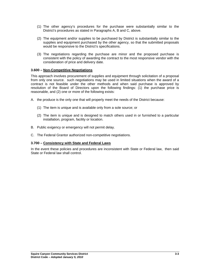- (1) The other agency's procedures for the purchase were substantially similar to the District's procedures as stated in Paragraphs A, B and C, above.
- (2) The equipment and/or supplies to be purchased by District is substantially similar to the supplies and equipment purchased by the other agency, so that the submitted proposals would be responsive to the District's specifications.
- (3) The negotiations regarding the purchase are minor and the proposed purchase is consistent with the policy of awarding the contract to the most responsive vendor with the consideration of price and delivery date.

### **3.600 – Non-Competitive Negotiations**

This approach involves procurement of supplies and equipment through solicitation of a proposal from only one source. such negotiations may be used in limited situations when the award of a contract is not feasible under the other methods and when said purchase is approved by resolution of the Board of Directors upon the following findings: (1) the purchase price is reasonable, and (2) one or more of the following exists:

- A. the produce is the only one that will properly meet the needs of the District because:
	- (1) The item is unique and is available only from a sole source; or
	- (2) The item is unique and is designed to match others used in or furnished to a particular installation, program, facility or location.
- B. Public exigency or emergency will not permit delay.
- C. The Federal Grantor authorized non-competitive negotiations.

### **3.700 – Consistency with State and Federal Laws**

In the event these policies and procedures are inconsistent with State or Federal law, then said State or Federal law shall control.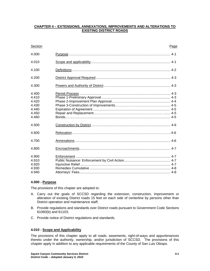### **CHAPTER 4 – EXTENSIONS, ANNEXATIONS, IMPROVEMENTS AND ALTERATIONS TO EXISTING DISTRICT ROADS**

| Section                                                     | Page |  |
|-------------------------------------------------------------|------|--|
| 4.000                                                       |      |  |
| 4.010                                                       |      |  |
| 4.100                                                       |      |  |
| 4.200                                                       |      |  |
| 4.300                                                       |      |  |
| 4.400<br>4.410<br>4.420<br>4.430<br>4.440<br>4.450<br>4.460 |      |  |
| 4.500                                                       |      |  |
| 4.600                                                       |      |  |
| 4.700                                                       |      |  |
| 4.800                                                       |      |  |
| 4.900<br>4.910<br>4.920<br>4.930<br>4.940                   |      |  |

### **4.000 - Purpose**

The provisions of this chapter are adopted to:

- A. Carry out the goals of SCCSD regarding the extension, construction, improvement or alteration of existing District roads 15 feet on each side of centerline by persons other than District operation and maintenance staff;
- B. Provide regulations and standards over District roads pursuant to Government Code Sections 61060(b) and 61103;
- C. Provide notice of District regulations and standards.

### **4.010 - Scope and Applicability**

The provisions of this chapter apply to all roads, easements, right-of-ways and appurtenances thereto under the authority, ownership, and/or jurisdiction of SCCSD. The provisions of this chapter apply in addition to any applicable requirements of the County of San Luis Obispo.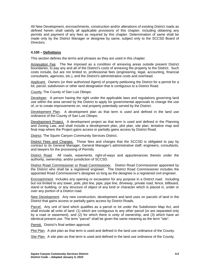All New Development, encroachments, construction and/or alterations of existing District roads as defined herein shall satisfy all applicable provisions of this chapter, including obtaining any permits and payment of any fees as required by this chapter. Determination of same shall be made only by the District Manager or designee by same, subject only to the SCCSD Board of Directors.

### **4.100 – Definitions**

This section defines the terms and phrases as they are used in this chapter.

Annexation Fee. The fee imposed as a condition of annexing areas outside present District boundaries, to pay any and all of the District's costs of annexing the property to the District. Such costs include, but are not limited to, professional fees (engineering, legal, accounting, financial consultants, agencies, etc.), and the District's administrative costs and overhead.

Applicant. Owners (or their authorized Agent) of property petitioning the District for a permit for a lot, parcel, subdivision or other land designation that is contiguous to a District Road.

County. The County of San Luis Obispo.

Developer. A person having the right under the applicable laws and regulations governing land use within the area served by the District to apply for governmental approvals to change the use of, or to create improvements on, real property potentially served by the District.

Development Plan. A development plan as that term is used and defined in the land use ordinance of the County of San Luis Obispo.

Development Project. A development project as that term is used and defined in the Planning and Zoning Law, and shall include a development plan, plot plan, site plan, tentative map and final map where the Project gains access or partially gains access by District Road.

District*.* The Squire Canyon Community Services District.

District Fees and Charges. Those fees and charges that the SCCSD is obligated to pay by contract to its General Manager, General Manager's administrative staff, engineers, consultants, and lawyers for the processing of Permits.

District Road. All roads, easements, right-of-ways and appurtenances thereto under the authority, ownership, and/or jurisdiction of SCCSD.

District Road Commissioner or Road Commissioner. District Road Commissioner appointed by the District who shall be a registered engineer. The District Road Commissioner includes the appointed Road Commissioner's designee so long as the designee is a registered civil engineer.

Encroachment. Includes any opening or excavation for any purpose in a District road. Including but not limited to any tower, pole, plot line, pipe, pipe line, driveway, private road, fence, billboard, stand or building, or any structure of object of any kind or character which is placed in, under or over any portion of a District road.

New Development. Any new construction, development and land uses on parcels of land in the District that gains access or partially gains access by District Roads.

Parcel. Any unit of land which qualifies as a parcel or lot under the Subdivision Map Act, and shall include all units of land: (1) which are contiguous to any other parcel (or are separated only by a road or easement), and (2) for which there is unity of ownership, and (3) which have an identical present use. The term "parcel" shall be given the same meaning as the term "site".

Permit. District's final written approval.

Plot Plan. A plot plan as that term is used and defined in the land use ordinance of the County.

Site Plan. A site plan as that term is used and defined in the land use ordinance of the County.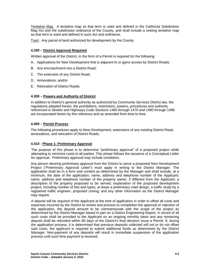Tentative Map. A tentative map as that term is used and defined in the California Subdivision Map Act and the subdivision ordinance of the County, and shall include a vesting tentative map as that term is used and defined in such Act and ordinance.

Tract. Any parcel of land authorized for development by the County.

### **4.200 – District Approval Required**

Written approval of the District, in the form of a Permit is required for the following:

- A. Applications for New Development that is adjacent to or gains access by District Roads;
- B. Any encroachment into a District Road;
- C. The extension of any District Road;
- D. Annexations; and/or
- E. Relocation of District Roads.

### **4.300 – Powers and Authority of District**

In addition to District's general authority as authorized by Community Services District law, the regulations adopted herein, the prohibitions, restrictions, powers, procedures and authority referenced in Streets and Highways Code Sections 1460 through 1470 and 1480 through 1496 are incorporated herein by this reference and as amended from time to time.

### **4.400 – Permit Process**

The following procedures apply to New Development, extensions of any existing District Road, annexations, and relocation of District Roads.

#### **4.410 - Phase 1: Preliminary Approval**

The purpose of this phase is to determine "preliminary approval" of a proposed project while attempting to minimize costs to all parties. This phase follows the issuance of a Conceptual Letter for approval. Preliminary approval may include conditions.

Any person desiring preliminary approval from the District to serve a proposed New Development Project ("Preliminary Approval Letter") must apply in writing to the District Manager. The application shall be in a form and content as determined by the Manager and shall include, at a minimum, the date of the application; name, address and telephone number of the Applicant; name, address and telephone number of the property owner, if different from the Applicant; a description of the property proposed to be served; explanation of the proposed development project, including number of lots and types, at lease a preliminary road design, a traffic study by a registered traffic engineer, proposed zoning; and any other information as the District Manager may require.

A deposit will be required of the Applicant at the time of application in order to offset all costs and expenses incurred by the District to review and process to completion the approval or rejection of the application, the deposit amount to be commensurate with the scope of the project as determined by the District Manager based in part on a District Engineering Report. A record of all such costs shall be provided to the Applicant on an ongoing monthly basis and any remaining deposit shall be refunded within 90 days of the District's final decision issue a Permit. If, during the application process, it is determined that previous deposits collected will not or do not offset said costs, the applicant is required to submit additional funds as determined by the District Manager. Non-payment of any deposits will result in immediate suspension of the application process until such time payment is received.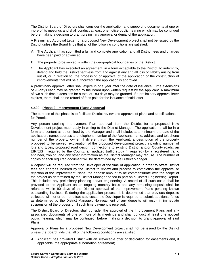The District Board of Directors shall consider the application and supporting documents at one or more of its meetings and shall conduct at least one notice public hearing which may be continued before making a decision to grant preliminary approval or denial of the application.

A Preliminary Approval Letter for a proposed New Development project shall not be issued by the District unless the Board finds that all of the following conditions are satisfied.

- A. The Applicant has submitted a full and complete application and all District fees and charges have been paid or advanced.
- B. The property to be served is within the geographical boundaries of the District.
- C. The Applicant has executed an agreement, in a form acceptable to the District, to indemnify, defend and hold the District harmless from and against any and all loss or liability arising from out of, or in relation to, the processing or approval of the application or the construction of improvements that will be authorized if the application is approved.

A preliminary approval letter shall expire in one year after the date of issuance. Time extensions of 90-days each may be granted by the Board upon written request by the Applicant. A maximum of two such time extensions for a total of 180 days may be granted. If a preliminary approval letter expires, there shall be no refund of fees paid for the issuance of said letter.

### **4.420 - Phase 2: Improvement Plans Approval**

The purpose of this phase is to facilitate District review and approval of plans and specifications for Permits.

Any person seeking Improvement Plan approval from the District for a proposed New Development project must apply in writing to the District Manager. The application shall be in a form and content as determined by the Manager and shall include, at a minimum, the date of the application; name, address and telephone number of the Applicant; name, address and telephone number of the property owner, if different from the Applicant; a description of the property proposed to be served; explanation of the proposed development project, including number of lots and types, proposed road design, connections to existing District and/or County roads, an EIR/EIS if required by the County, an updated traffic study (if required) by a registered traffic engineer, zoning; and any other information as the District Manager may require. The number of copies of each required document will be determined by the District Manager.

A deposit will be required from the Developer at the time of application in order to offset District fees and charges incurred by the District to review and process to completion the approval or rejection of the Improvement Plans, the deposit amount to be commensurate with the scope of the project as determined by the District Manager based in part on a District Engineering Report. This includes any preliminary planning and/or engineering. A record of all such costs shall be provided to the Applicant on an ongoing monthly basis and any remaining deposit shall be refunded within 90 days of the District approval of the Improvement Plans pending known outstanding invoices. If, during the application process, it is determined that previous deposits collected will not or do not offset said costs, the Developer is required to submit additional funds as determined by the District Manager. Non-payment of any deposits will result in immediate suspension of the process until such time payment is received.

The District Board of Directors shall consider the approval of the Improvement Plans and any associated documents at one or more of its meetings and shall conduct at least one noticed public hearing, which may be continued, before making a decision to grant approval of said Plans.

Approval of Plans for a proposed New Development project shall not be issued by the District unless the Board finds that all of the following conditions are satisfied:

A. Applicant has provided District with an irrevocable offer of dedication for easements and, if applicable, the appropriate subornation agreement;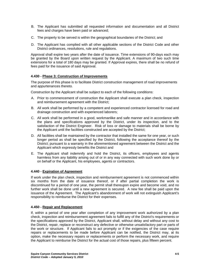- B. The Applicant has submitted all requested information and documentation and all District fees and charges have been paid or advanced;
- C. The property to be served is within the geographical boundaries of the District; and
- D. The Applicant has complied with all other applicable sections of the District Code and other District ordinances, resolutions, rule and regulations.

Approval shall expire two years after the date of issuance. Time extensions of 90-days each may be granted by the Board upon written request by the Applicant. A maximum of two such time extensions for a total of 180 days may be granted. If Approval expires, there shall be no refund of fees paid for the issuance of said Approval.

### **4.430 - Phase 3: Construction of Improvements**

The purpose of this phase is to facilitate District construction management of road improvements and appurtenances thereto.

Construction by the Applicant shall be subject to each of the following conditions:

- A. Prior to commencement of construction the Applicant shall execute a plan check, inspection and reimbursement agreement with the District;
- B. All work shall be performed by a competent and experienced contractor licensed for road and drainage construction and with experienced laborers;
- C. All work shall be performed in a good, workmanlike and safe manner and in accordance with the plans and specifications approved by the District, under its inspection, and to the satisfaction of the District Engineer. Risk of loss or damage to materials shall be borne by the Applicant until the facilities constructed are accepted by the District;
- D. All facilities shall be maintained by the contractor that installed the same for one year, or such longer period as shall be specified by the District, following the acceptance thereof by the District; pursuant to a warranty in the aforementioned agreement between the District and the Applicant which expressly benefits the District and
- E. The Applicant shall indemnify and hold the District, its officers, employees and agents harmless from any liability arising out of or in any way connected with such work done by or on behalf or the Applicant, his employees, agents or contractors.

### **4.440 - Expiration of Agreement**

If work under the plan check, inspection and reimbursement agreement is not commenced within six months from the date of issuance thereof, or if after partial completion the work is discontinued for a period of one year, the permit shall thereupon expire and become void, and no further work shall be done until a new agreement is secured. A new fee shall be paid upon the issuance of the Agreement. The Applicant's abandonment of work will not extinguish Applicant's responsibility to reimburse the District for their expenses.

### **4.450 - Repair and Replacement**

If, within a period of one year after completion of any improvement work authorized by a plan check, inspection and reimbursement agreement fails to fulfill any of the District's requirements or the specifications approved by the District, Applicant shall, without delay and without any cost to the District, repair, replace or reconstruct any defective or otherwise unsatisfactory part or parts of the work or structure. If Applicant fails to act promptly or if the exigencies of the case require repairs or replacements to be made before Applicant can be notified, the District may, at its option, make the necessary repairs or replacements or perform the necessary work, and require the Applicant to reimburse the District for the actual cost of those repairs, plus fifteen percent.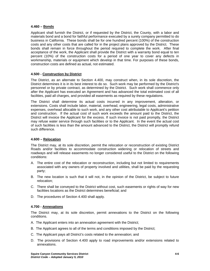### **4.460 – Bonds**

Applicant shall furnish the District, or if requested by the District, the County, with a labor and materials bond and a bond for faithful performance executed by a surety company permitted to do business in California. These bonds shall be for one hundred percent (100%) of the construction costs and any other costs that are called for in the project plans approved by the District. These bonds shall remain in force throughout the period required to complete the work. After final acceptance of the work, the Applicant shall provide the District with a warranty bond equal to ten percent (10%) of the construction costs for a period of one year to cover any defects in workmanship, materials or equipment which develop in that time. For purposes of these bonds, construction costs are defined as actual, not estimated.

### **4.500 - Construction by District**

The District, as an alternate to Section 4.400, may construct when, in its sole discretion, the District determines it is in its best interest to do so. Such work may be performed by the District's personnel or by private contract, as determined by the District. Such work shall commence only after the Applicant has executed an Agreement and has advanced the total estimated cost of all facilities, paid all charges, and provided all easements as required by these regulations.

The District shall determine its actual costs incurred in any improvement, alteration, or extensions. Costs shall include labor, material, overhead, engineering, legal costs, administrative expenses, overhead allocable to such work, and any other cost attributable to Applicant's petition and construction. If the actual cost of such work exceeds the amount paid to the District, the District will invoice the Applicant for the excess. If such invoice is not paid promptly, the District may refuse water service through such facilities or to the Applicant. In the event the actual cost of such facilities is less than the amount advanced to the District, the District will promptly refund such difference.

### **4.600 – Relocation**

The District may, at its sole discretion, permit the relocation or reconstruction of existing District Roads and/or facilities to accommodate construction widening or relocation of streets and roadways and will release easements no longer considered useful to the District on the following conditions:

- A. The entire cost of the relocation or reconstruction, including but not limited to requirements associated with any owners of property involved and utilities, shall be paid by the requesting party;
- B. The new location is such that it will not, in the opinion of the District, be subject to future relocation;
- C. There shall be conveyed to the District without cost, such easements or rights of way for new facilities locations as the District determines beneficial; and
- D. The procedures of Section 4.400 shall apply.

#### **4.700 - Annexations**

The District may, at its sole discretion, permit annexations to the District on the following conditions.

- A. The Applicant enters into an annexation agreement with the District;
- B. The Applicant agrees to all of the terms and conditions imposed by the District;
- C. The Applicant pays all District's costs related to the annexation; and
- D. The provisions of Section 4.400 apply to road improvements and/or extensions related to annexations.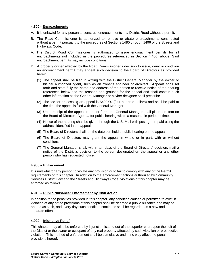### **4.800 - Encroachments**

- A. It is unlawful for any person to construct encroachments in a District Road without a permit.
- B. The Road Commissioner is authorized to remove or abate encroachments constructed without a permit pursuant to the procedures of Sections 1480 through 1496 of the Streets and Highways Code.
- A. The District Road Commissioner is authorized to issue encroachment permits for all encroachments not included in the procedures referenced in Section 4.400, above. Said encroachment permits may include conditions.
- D. A property owner affected by the Road Commissioner's decision to issue, deny or condition an encroachment permit may appeal such decision to the Board of Directors as provided herein.
	- (1) The appeal shall be filed in writing with the District General Manager by the owner or his/her authorized agent, such as an owner's engineer or architect. Appeals shall set forth and state fully the name and address of the person to receive notice of the hearing referenced below and the reasons and grounds for the appeal and shall contain such other information as the General Manager or his/her designee shall prescribe.
	- (2) The fee for processing an appeal is \$400.00 (four hundred dollars) and shall be paid at the time the appeal is filed with the General Manager.
	- (3) Upon receipt of the appeal in proper form, the General Manager shall place the item on the Board of Directors Agenda for public hearing within a reasonable period of time.
	- (4) Notice of the hearing shall be given through the U.S. Mail with postage prepaid using the address identified in the appeal.
	- (5) The Board of Directors shall, on the date set, hold a public hearing on the appeal.
	- (6) The Board of Directors may grant the appeal in whole or in part, with or without conditions.
	- (7) The General Manager shall, within ten days of the Board of Directors' decision, mail a notice of the District's decision to the person designated on the appeal or any other person who has requested notice.

### **4.900 – Enforcement**

It is unlawful for any person to violate any provision or to fail to comply with any of the Permit requirements of this chapter. In addition to the enforcement actions authorized by Community Services District Law and the Streets and Highways Code, violations of this chapter may be enforced as follows.

### **4.910 – Public Nuisance: Enforcement by Civil Action**

In addition to the penalties provided in this chapter, any condition caused or permitted to exist in violation of any of the provisions of this chapter shall be deemed a public nuisance and may be abated as such, and every day such condition continues shall be regarded as a new and separate offense.

#### **4.920 – Injunctive Relief**

This chapter may also be enforced by injunction issued out of the superior court upon the suit of the District or the owner or occupant of any real property affected by such violation or prospective violation. This method of enforcement shall be cumulative and in no way affect the penal provisions hereof.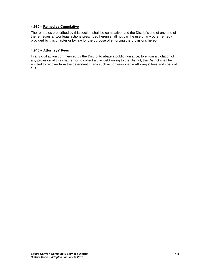### **4.930 – Remedies Cumulative**

The remedies prescribed by this section shall be cumulative, and the District's use of any one of the remedies and/or legal actions prescribed herein shall not bar the use of any other remedy provided by this chapter or by law for the purpose of enforcing the provisions hereof.

### **4.940 – Attorneys' Fees**

In any civil action commenced by the District to abate a public nuisance, to enjoin a violation of any provision of this chapter, or to collect a civil debt owing to the District, the District shall be entitled to recover from the defendant in any such action reasonable attorneys' fees and costs of suit.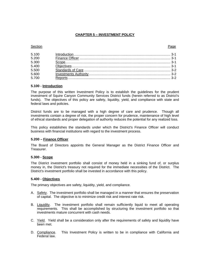### **CHAPTER 5 – INVESTMENT POLICY**

#### **Section Page 2018**

| 5.100          |  |
|----------------|--|
| 5.200          |  |
| 5.300<br>5.400 |  |
|                |  |
| 5.500          |  |
| 5.600          |  |
| 5.700          |  |

#### **5.100 - Introduction**

The purpose of this written Investment Policy is to establish the guidelines for the prudent investment of Squire Canyon Community Services District funds (herein referred to as District's funds). The objectives of this policy are safety, liquidity, yield, and compliance with state and federal laws and policies.

District funds are to be managed with a high degree of care and prudence. Though all investments contain a degree of risk, the proper concern for prudence, maintenance of high level of ethical standards and proper delegation of authority reduces the potential for any realized loss.

This policy establishes the standards under which the District's Finance Officer will conduct business with financial institutions with regard to the investment process.

#### **5.200 – Finance Officer**

The Board of Directors appoints the General Manager as the District Finance Officer and Treasurer.

#### **5.300 - Scope**

The District investment portfolio shall consist of money held in a sinking fund of, or surplus money in, the District's treasury not required for the immediate necessities of the District. The District's investment portfolio shall be invested in accordance with this policy.

#### **5.400 - Objectives**

The primary objectives are safety, liquidity, yield, and compliance.

- A. Safety. The investment portfolio shall be managed in a manner that ensures the preservation of capital. The objective is to minimize credit risk and interest rate risk.
- B. Liquidity. The investment portfolio shall remain sufficiently liquid to meet all operating requirements. This shall be accomplished by structuring the investment portfolio so that investments mature concurrent with cash needs.
- C. Yield. Yield shall be a consideration only after the requirements of safety and liquidity have been met.
- D. Compliance. This Investment Policy is written to be in compliance with California and Federal law.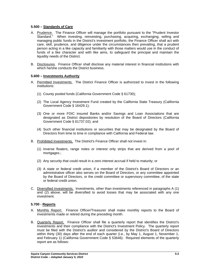### **5.500 – Standards of Care**

- A. Prudence. The Finance Officer will manage the portfolio pursuant to the "Prudent Investor Standard." When investing, reinvesting, purchasing, acquiring, exchanging, selling and managing public funds in the District's investment portfolio, the Finance Officer shall act with care, skill, prudence, and diligence under the circumstances then prevailing, that a prudent person acting in a like capacity and familiarity with those matters would use in the conduct of funds of a like character and with like aims, to safeguard the principal and maintain the liquidity needs of the District.
- B. Disclosures. Finance Officer shall disclose any material interest in financial institutions with which he/she conducts the District business.

### **5.600 – Investments Authority**

- A. Permitted Investments. The District Finance Officer is authorized to invest in the following institutions:
	- (1) County pooled funds (California Government Code § 61730);
	- (2) The Local Agency Investment Fund created by the California State Treasury (California Government Code § 16429.1);
	- (3) One or more FDIC insured Banks and/or Savings and Loan Associations that are designated as District depositories by resolution of the Board of Directors (California Government Code § 61737.02); and
	- (4) Such other financial institutions or securities that may be designated by the Board of Directors from time to time in compliance with California and Federal law.
- B. Prohibited Investments. The District's Finance Officer shall not invest in:
	- (1) Inverse floaters, range notes or interest only strips that are derived from a pool of mortgages.;
	- (2) Any security that could result in a zero interest accrual if held to maturity; or
	- (3) A state or federal credit union, if a member of the District's Board of Directors or an administrative officer also serves on the Board of Directors, or any committee appointed by the Board of Directors, or the credit committee or supervisory committee, of the state or federal credit union.
- C. Diversified Investments. Investments, other than investments referenced in paragraphs A (1) and (2) above, will be diversified to avoid losses that may be associated with any one investment.

### **5.700 - Reports**

- A. Monthly Report. Finance Officer/Treasurer shall make monthly reports to the Board of investments made or retired during the preceding month.
- B. Quarterly Report. Finance Officer shall file a quarterly report that identifies the District's investments and their compliance with the District's Investment Policy. The quarterly report must be filed with the District's auditor and considered by the District's Board of Directors within thirty (30) days after the end of each quarter (i.e., by May 1, August 1, November 1, and February 1) (California Government Code § 53646). Required elements of the quarterly report are as follows: